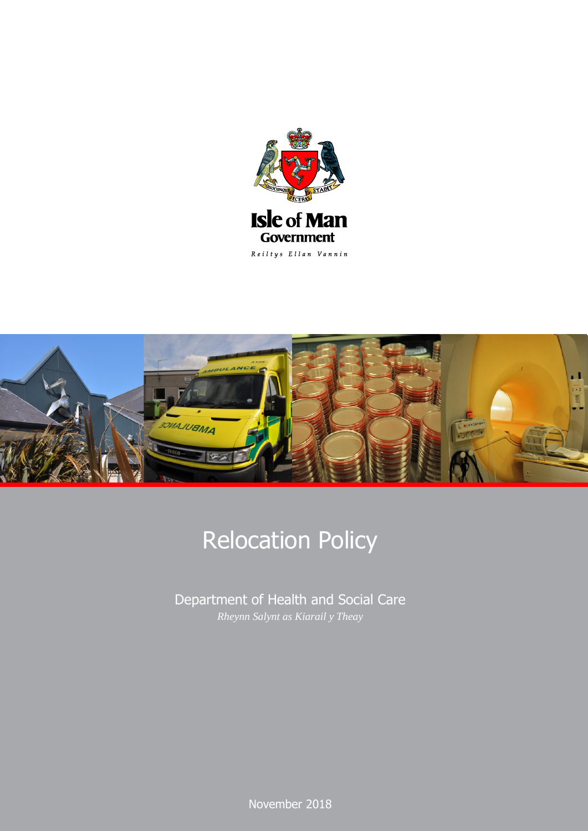



# Relocation Policy

Department of Health and Social Care *Rheynn Salynt as Kiarail y Theay*

> $N$ e:  $440$ November 2018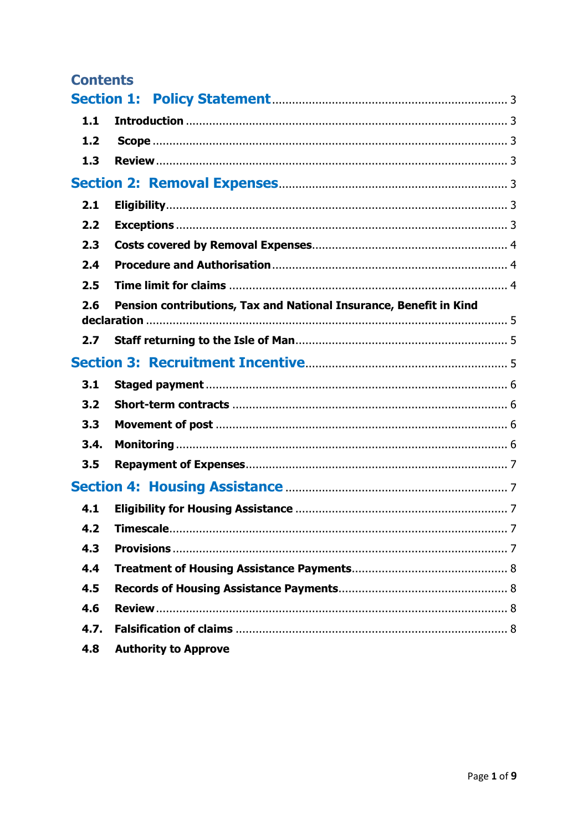| <b>Contents</b>   |                                                                    |  |
|-------------------|--------------------------------------------------------------------|--|
| <b>Section 1:</b> |                                                                    |  |
| 1.1               |                                                                    |  |
| 1.2               |                                                                    |  |
| 1.3               |                                                                    |  |
|                   |                                                                    |  |
| 2.1               |                                                                    |  |
| 2.2               |                                                                    |  |
| 2.3               |                                                                    |  |
| 2.4               |                                                                    |  |
| 2.5               |                                                                    |  |
| 2.6               | Pension contributions, Tax and National Insurance, Benefit in Kind |  |
| 2.7               |                                                                    |  |
|                   |                                                                    |  |
| 3.1               |                                                                    |  |
| 3.2               |                                                                    |  |
| 3.3               |                                                                    |  |
| 3.4.              |                                                                    |  |
| 3.5               |                                                                    |  |
|                   |                                                                    |  |
| 4.1               |                                                                    |  |
| 4.2               |                                                                    |  |
| 4.3               |                                                                    |  |
| 4.4               |                                                                    |  |
| 4.5               |                                                                    |  |
| 4.6               |                                                                    |  |
| 4.7.              |                                                                    |  |
| 4.8               | <b>Authority to Approve</b>                                        |  |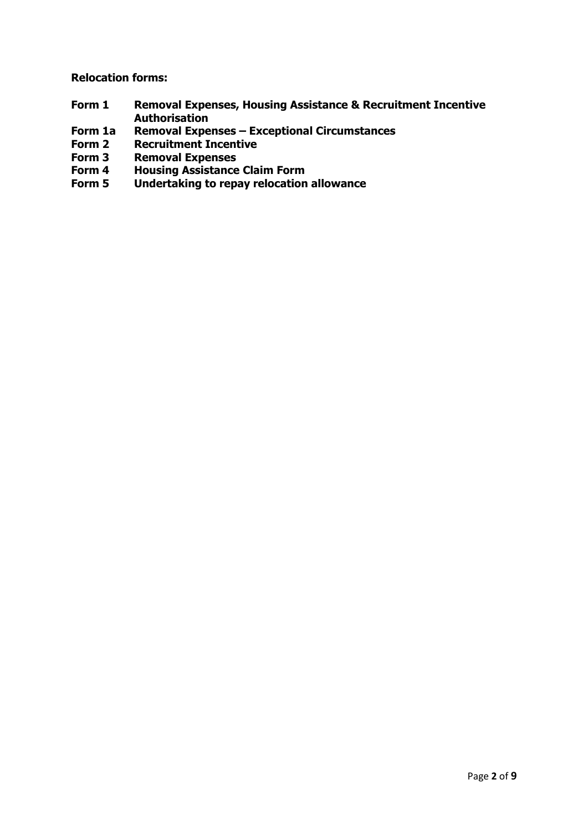**Relocation forms:**

- **Form 1 Removal Expenses, Housing Assistance & Recruitment Incentive Authorisation**
- **Form 1a Removal Expenses – Exceptional Circumstances**
- **Recruitment Incentive**
- **Form 3 Removal Expenses**
- Form 4 **Housing Assistance Claim Form**<br>Form 5 **Undertaking to repay relocation**
- **Form 5 Undertaking to repay relocation allowance**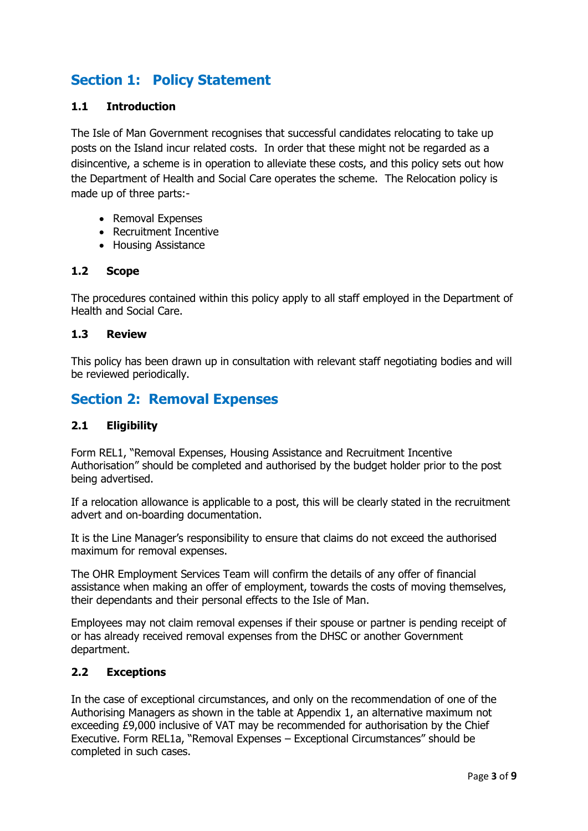# <span id="page-3-0"></span>**Section 1: Policy Statement**

## <span id="page-3-1"></span>**1.1 Introduction**

The Isle of Man Government recognises that successful candidates relocating to take up posts on the Island incur related costs. In order that these might not be regarded as a disincentive, a scheme is in operation to alleviate these costs, and this policy sets out how the Department of Health and Social Care operates the scheme. The Relocation policy is made up of three parts:-

- Removal Expenses
- Recruitment Incentive
- Housing Assistance

## <span id="page-3-2"></span>**1.2 Scope**

The procedures contained within this policy apply to all staff employed in the Department of Health and Social Care.

#### <span id="page-3-3"></span>**1.3 Review**

This policy has been drawn up in consultation with relevant staff negotiating bodies and will be reviewed periodically.

## <span id="page-3-4"></span>**Section 2: Removal Expenses**

## <span id="page-3-5"></span>**2.1 Eligibility**

Form REL1, "Removal Expenses, Housing Assistance and Recruitment Incentive Authorisation" should be completed and authorised by the budget holder prior to the post being advertised.

If a relocation allowance is applicable to a post, this will be clearly stated in the recruitment advert and on-boarding documentation.

It is the Line Manager's responsibility to ensure that claims do not exceed the authorised maximum for removal expenses.

The OHR Employment Services Team will confirm the details of any offer of financial assistance when making an offer of employment, towards the costs of moving themselves, their dependants and their personal effects to the Isle of Man.

Employees may not claim removal expenses if their spouse or partner is pending receipt of or has already received removal expenses from the DHSC or another Government department.

## <span id="page-3-6"></span>**2.2 Exceptions**

In the case of exceptional circumstances, and only on the recommendation of one of the Authorising Managers as shown in the table at Appendix 1, an alternative maximum not exceeding £9,000 inclusive of VAT may be recommended for authorisation by the Chief Executive. Form REL1a, "Removal Expenses – Exceptional Circumstances" should be completed in such cases.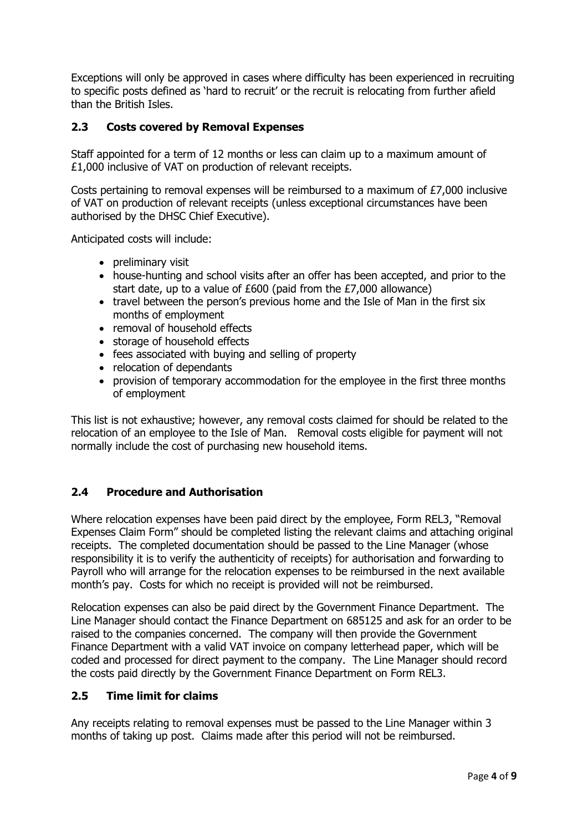Exceptions will only be approved in cases where difficulty has been experienced in recruiting to specific posts defined as 'hard to recruit' or the recruit is relocating from further afield than the British Isles.

## <span id="page-4-0"></span>**2.3 Costs covered by Removal Expenses**

Staff appointed for a term of 12 months or less can claim up to a maximum amount of £1,000 inclusive of VAT on production of relevant receipts.

Costs pertaining to removal expenses will be reimbursed to a maximum of £7,000 inclusive of VAT on production of relevant receipts (unless exceptional circumstances have been authorised by the DHSC Chief Executive).

Anticipated costs will include:

- preliminary visit
- house-hunting and school visits after an offer has been accepted, and prior to the start date, up to a value of £600 (paid from the £7,000 allowance)
- travel between the person's previous home and the Isle of Man in the first six months of employment
- removal of household effects
- storage of household effects
- fees associated with buying and selling of property
- relocation of dependants
- provision of temporary accommodation for the employee in the first three months of employment

This list is not exhaustive; however, any removal costs claimed for should be related to the relocation of an employee to the Isle of Man. Removal costs eligible for payment will not normally include the cost of purchasing new household items.

## <span id="page-4-1"></span>**2.4 Procedure and Authorisation**

Where relocation expenses have been paid direct by the employee, Form REL3, "Removal Expenses Claim Form" should be completed listing the relevant claims and attaching original receipts. The completed documentation should be passed to the Line Manager (whose responsibility it is to verify the authenticity of receipts) for authorisation and forwarding to Payroll who will arrange for the relocation expenses to be reimbursed in the next available month's pay. Costs for which no receipt is provided will not be reimbursed.

<span id="page-4-2"></span>Relocation expenses can also be paid direct by the Government Finance Department. The Line Manager should contact the Finance Department on 685125 and ask for an order to be raised to the companies concerned. The company will then provide the Government Finance Department with a valid VAT invoice on company letterhead paper, which will be coded and processed for direct payment to the company. The Line Manager should record the costs paid directly by the Government Finance Department on Form REL3.

## **2.5 Time limit for claims**

Any receipts relating to removal expenses must be passed to the Line Manager within 3 months of taking up post. Claims made after this period will not be reimbursed.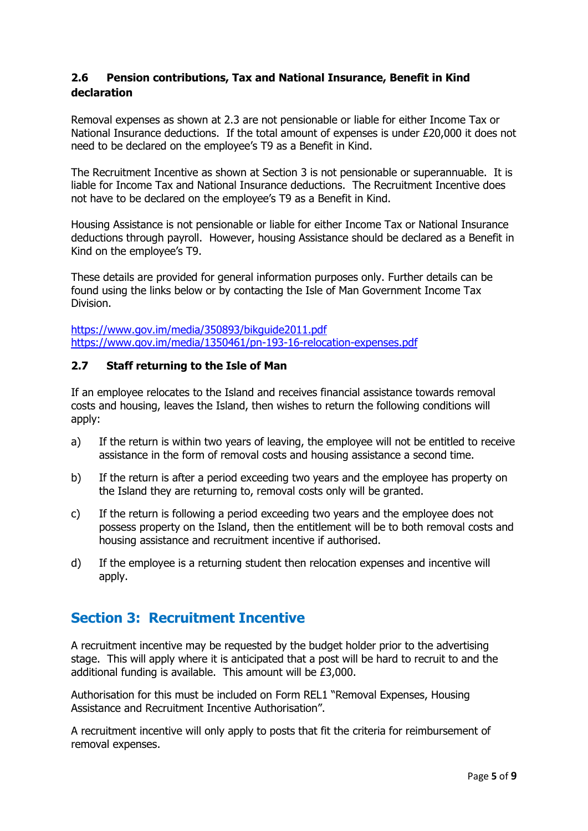## <span id="page-5-0"></span>**2.6 Pension contributions, Tax and National Insurance, Benefit in Kind declaration**

Removal expenses as shown at 2.3 are not pensionable or liable for either Income Tax or National Insurance deductions. If the total amount of expenses is under £20,000 it does not need to be declared on the employee's T9 as a Benefit in Kind.

The Recruitment Incentive as shown at Section 3 is not pensionable or superannuable. It is liable for Income Tax and National Insurance deductions. The Recruitment Incentive does not have to be declared on the employee's T9 as a Benefit in Kind.

Housing Assistance is not pensionable or liable for either Income Tax or National Insurance deductions through payroll. However, housing Assistance should be declared as a Benefit in Kind on the employee's T9.

These details are provided for general information purposes only. Further details can be found using the links below or by contacting the Isle of Man Government Income Tax Division.

<https://www.gov.im/media/350893/bikguide2011.pdf> <https://www.gov.im/media/1350461/pn-193-16-relocation-expenses.pdf>

## <span id="page-5-1"></span>**2.7 Staff returning to the Isle of Man**

If an employee relocates to the Island and receives financial assistance towards removal costs and housing, leaves the Island, then wishes to return the following conditions will apply:

- a) If the return is within two years of leaving, the employee will not be entitled to receive assistance in the form of removal costs and housing assistance a second time.
- b) If the return is after a period exceeding two years and the employee has property on the Island they are returning to, removal costs only will be granted.
- c) If the return is following a period exceeding two years and the employee does not possess property on the Island, then the entitlement will be to both removal costs and housing assistance and recruitment incentive if authorised.
- d) If the employee is a returning student then relocation expenses and incentive will apply.

# <span id="page-5-2"></span>**Section 3: Recruitment Incentive**

A recruitment incentive may be requested by the budget holder prior to the advertising stage. This will apply where it is anticipated that a post will be hard to recruit to and the additional funding is available. This amount will be £3,000.

Authorisation for this must be included on Form REL1 "Removal Expenses, Housing Assistance and Recruitment Incentive Authorisation".

A recruitment incentive will only apply to posts that fit the criteria for reimbursement of removal expenses.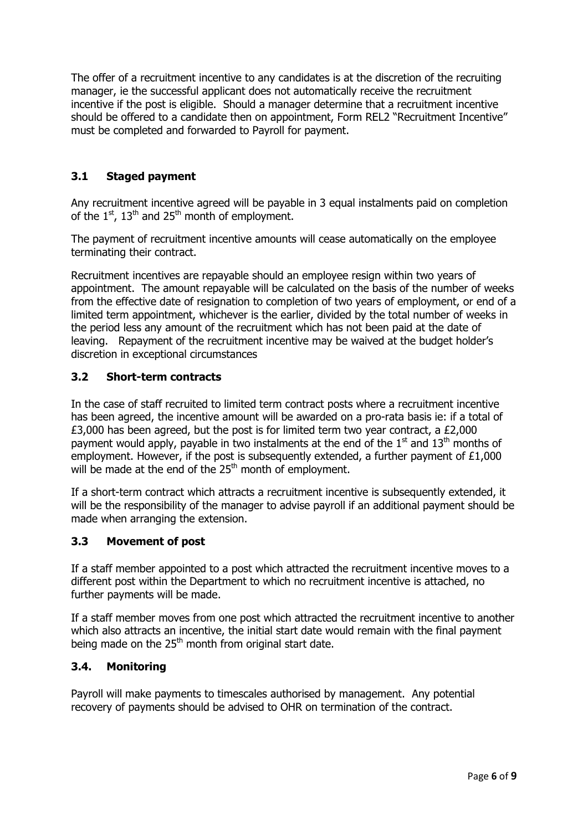The offer of a recruitment incentive to any candidates is at the discretion of the recruiting manager, ie the successful applicant does not automatically receive the recruitment incentive if the post is eligible. Should a manager determine that a recruitment incentive should be offered to a candidate then on appointment, Form REL2 "Recruitment Incentive" must be completed and forwarded to Payroll for payment.

## <span id="page-6-0"></span>**3.1 Staged payment**

Any recruitment incentive agreed will be payable in 3 equal instalments paid on completion of the  $1^{st}$ ,  $13^{th}$  and  $25^{th}$  month of employment.

The payment of recruitment incentive amounts will cease automatically on the employee terminating their contract.

Recruitment incentives are repayable should an employee resign within two years of appointment. The amount repayable will be calculated on the basis of the number of weeks from the effective date of resignation to completion of two years of employment, or end of a limited term appointment, whichever is the earlier, divided by the total number of weeks in the period less any amount of the recruitment which has not been paid at the date of leaving. Repayment of the recruitment incentive may be waived at the budget holder's discretion in exceptional circumstances

## <span id="page-6-1"></span>**3.2 Short-term contracts**

In the case of staff recruited to limited term contract posts where a recruitment incentive has been agreed, the incentive amount will be awarded on a pro-rata basis ie: if a total of £3,000 has been agreed, but the post is for limited term two year contract, a £2,000 payment would apply, payable in two instalments at the end of the  $1<sup>st</sup>$  and  $13<sup>th</sup>$  months of employment. However, if the post is subsequently extended, a further payment of £1,000 will be made at the end of the 25<sup>th</sup> month of employment.

If a short-term contract which attracts a recruitment incentive is subsequently extended, it will be the responsibility of the manager to advise payroll if an additional payment should be made when arranging the extension.

## <span id="page-6-2"></span>**3.3 Movement of post**

If a staff member appointed to a post which attracted the recruitment incentive moves to a different post within the Department to which no recruitment incentive is attached, no further payments will be made.

If a staff member moves from one post which attracted the recruitment incentive to another which also attracts an incentive, the initial start date would remain with the final payment being made on the  $25<sup>th</sup>$  month from original start date.

## <span id="page-6-3"></span>**3.4. Monitoring**

Payroll will make payments to timescales authorised by management. Any potential recovery of payments should be advised to OHR on termination of the contract.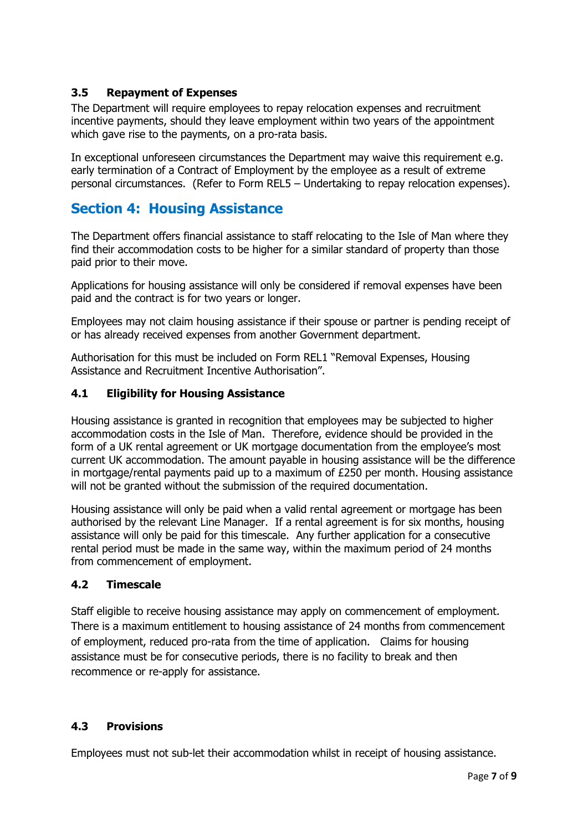## <span id="page-7-0"></span>**3.5 Repayment of Expenses**

The Department will require employees to repay relocation expenses and recruitment incentive payments, should they leave employment within two years of the appointment which gave rise to the payments, on a pro-rata basis.

In exceptional unforeseen circumstances the Department may waive this requirement e.g. early termination of a Contract of Employment by the employee as a result of extreme personal circumstances. (Refer to Form REL5 – Undertaking to repay relocation expenses).

# <span id="page-7-1"></span>**Section 4: Housing Assistance**

The Department offers financial assistance to staff relocating to the Isle of Man where they find their accommodation costs to be higher for a similar standard of property than those paid prior to their move.

Applications for housing assistance will only be considered if removal expenses have been paid and the contract is for two years or longer.

Employees may not claim housing assistance if their spouse or partner is pending receipt of or has already received expenses from another Government department.

Authorisation for this must be included on Form REL1 "Removal Expenses, Housing Assistance and Recruitment Incentive Authorisation".

## <span id="page-7-2"></span>**4.1 Eligibility for Housing Assistance**

Housing assistance is granted in recognition that employees may be subjected to higher accommodation costs in the Isle of Man. Therefore, evidence should be provided in the form of a UK rental agreement or UK mortgage documentation from the employee's most current UK accommodation. The amount payable in housing assistance will be the difference in mortgage/rental payments paid up to a maximum of £250 per month. Housing assistance will not be granted without the submission of the required documentation.

Housing assistance will only be paid when a valid rental agreement or mortgage has been authorised by the relevant Line Manager. If a rental agreement is for six months, housing assistance will only be paid for this timescale. Any further application for a consecutive rental period must be made in the same way, within the maximum period of 24 months from commencement of employment.

## <span id="page-7-3"></span>**4.2 Timescale**

<span id="page-7-4"></span>Staff eligible to receive housing assistance may apply on commencement of employment. There is a maximum entitlement to housing assistance of 24 months from commencement of employment, reduced pro-rata from the time of application. Claims for housing assistance must be for consecutive periods, there is no facility to break and then recommence or re-apply for assistance.

## **4.3 Provisions**

Employees must not sub-let their accommodation whilst in receipt of housing assistance.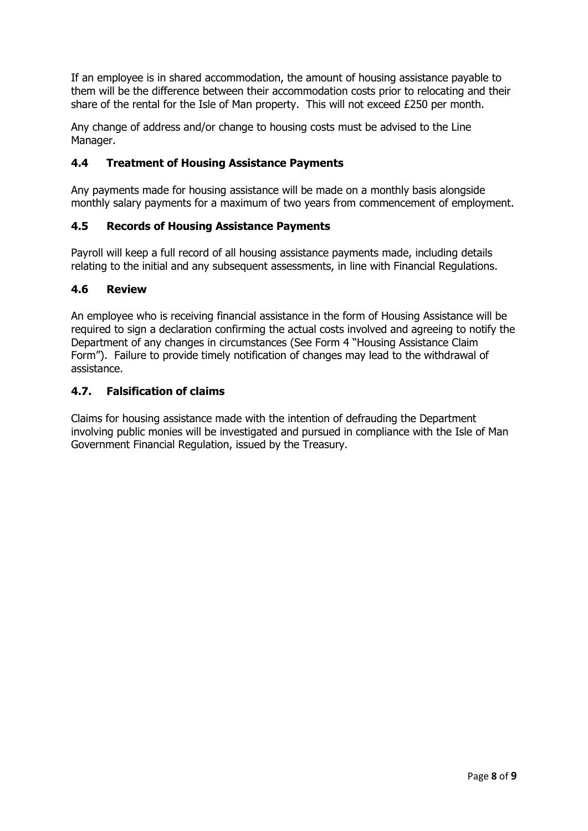If an employee is in shared accommodation, the amount of housing assistance payable to them will be the difference between their accommodation costs prior to relocating and their share of the rental for the Isle of Man property. This will not exceed £250 per month.

Any change of address and/or change to housing costs must be advised to the Line Manager.

## <span id="page-8-0"></span>**4.4 Treatment of Housing Assistance Payments**

Any payments made for housing assistance will be made on a monthly basis alongside monthly salary payments for a maximum of two years from commencement of employment.

## <span id="page-8-1"></span>**4.5 Records of Housing Assistance Payments**

Payroll will keep a full record of all housing assistance payments made, including details relating to the initial and any subsequent assessments, in line with Financial Regulations.

## <span id="page-8-2"></span>**4.6 Review**

An employee who is receiving financial assistance in the form of Housing Assistance will be required to sign a declaration confirming the actual costs involved and agreeing to notify the Department of any changes in circumstances (See Form 4 "Housing Assistance Claim Form"). Failure to provide timely notification of changes may lead to the withdrawal of assistance.

## <span id="page-8-3"></span>**4.7. Falsification of claims**

Claims for housing assistance made with the intention of defrauding the Department involving public monies will be investigated and pursued in compliance with the Isle of Man Government Financial Regulation, issued by the Treasury.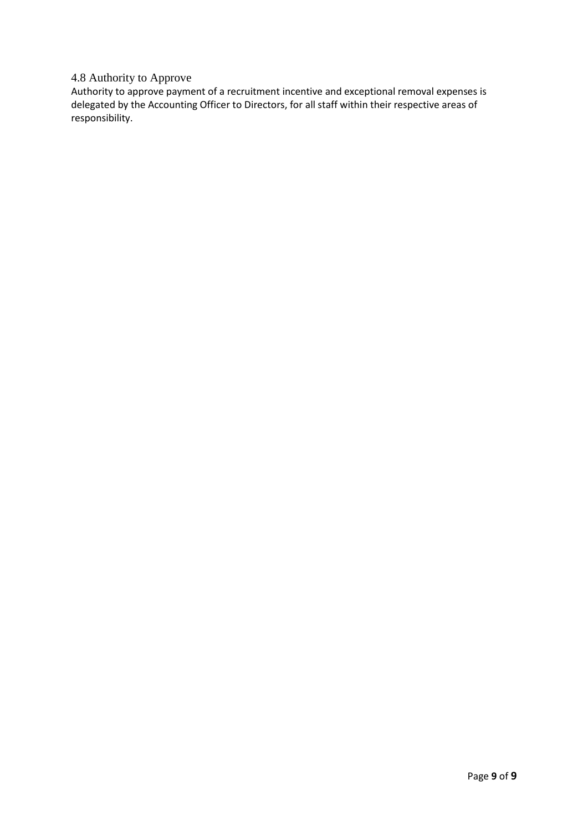## 4.8 Authority to Approve

Authority to approve payment of a recruitment incentive and exceptional removal expenses is delegated by the Accounting Officer to Directors, for all staff within their respective areas of responsibility.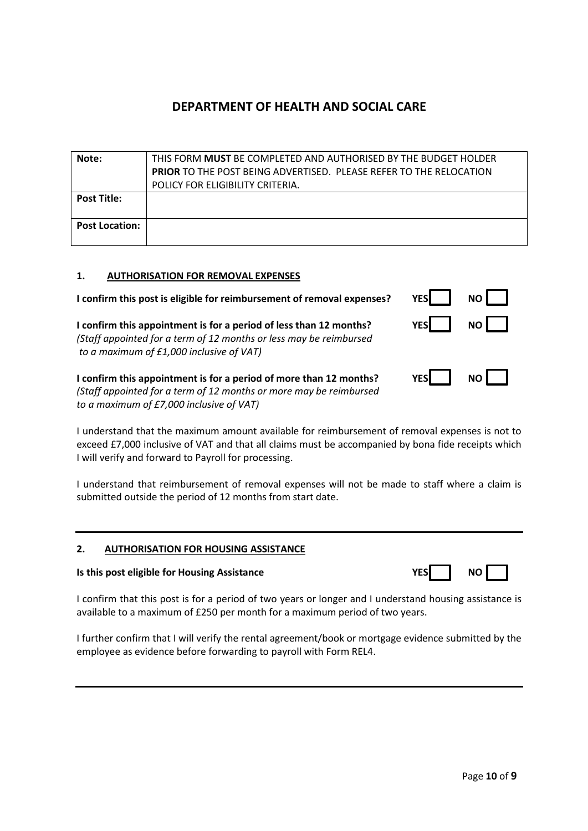| Note:                 | THIS FORM <b>MUST</b> BE COMPLETED AND AUTHORISED BY THE BUDGET HOLDER    |
|-----------------------|---------------------------------------------------------------------------|
|                       | <b>PRIOR TO THE POST BEING ADVERTISED. PLEASE REFER TO THE RELOCATION</b> |
|                       | POLICY FOR ELIGIBILITY CRITERIA.                                          |
| <b>Post Title:</b>    |                                                                           |
|                       |                                                                           |
| <b>Post Location:</b> |                                                                           |
|                       |                                                                           |

#### **1. AUTHORISATION FOR REMOVAL EXPENSES**

**I** confirm this post is eligible for reimbursement of removal expenses? **YES** NO **I** confirm this appointment is for a period of less than 12 months? **YES** YES NO

*(Staff appointed for a term of 12 months or less may be reimbursed to a maximum of £1,000 inclusive of VAT)*

**I** confirm this appointment is for a period of more than 12 months? **YES** YES NO *(Staff appointed for a term of 12 months or more may be reimbursed to a maximum of £7,000 inclusive of VAT)*

I understand that the maximum amount available for reimbursement of removal expenses is not to exceed £7,000 inclusive of VAT and that all claims must be accompanied by bona fide receipts which I will verify and forward to Payroll for processing.

I understand that reimbursement of removal expenses will not be made to staff where a claim is submitted outside the period of 12 months from start date.

#### **2. AUTHORISATION FOR HOUSING ASSISTANCE**

#### **Is this post eligible for Housing Assistance <b>YES** NO *YE*

|  | $\Box$<br>ı<br>N |  |
|--|------------------|--|
|--|------------------|--|

I confirm that this post is for a period of two years or longer and I understand housing assistance is available to a maximum of £250 per month for a maximum period of two years.

I further confirm that I will verify the rental agreement/book or mortgage evidence submitted by the employee as evidence before forwarding to payroll with Form REL4.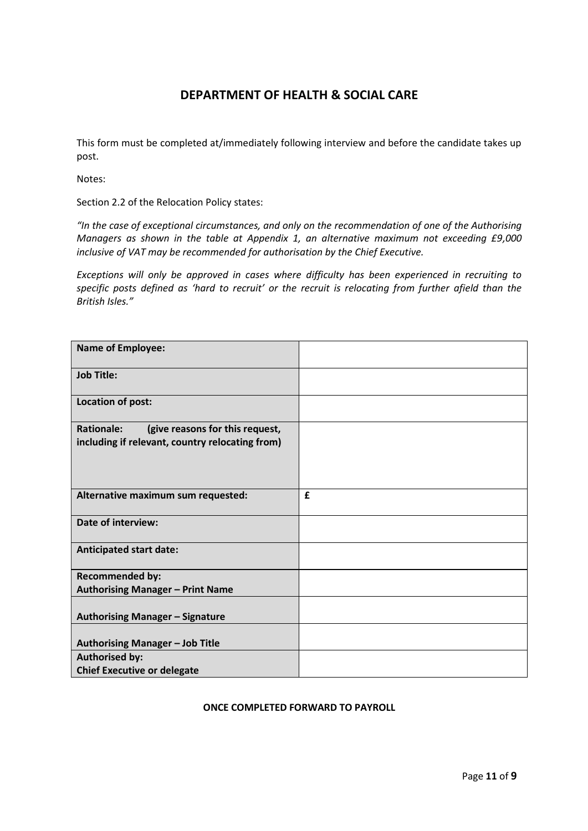This form must be completed at/immediately following interview and before the candidate takes up post.

Notes:

Section 2.2 of the Relocation Policy states:

*"In the case of exceptional circumstances, and only on the recommendation of one of the Authorising Managers as shown in the table at Appendix 1, an alternative maximum not exceeding £9,000 inclusive of VAT may be recommended for authorisation by the Chief Executive.*

*Exceptions will only be approved in cases where difficulty has been experienced in recruiting to specific posts defined as 'hard to recruit' or the recruit is relocating from further afield than the British Isles."*

| <b>Name of Employee:</b>                                                                                |   |
|---------------------------------------------------------------------------------------------------------|---|
| <b>Job Title:</b>                                                                                       |   |
| Location of post:                                                                                       |   |
| <b>Rationale:</b><br>(give reasons for this request,<br>including if relevant, country relocating from) |   |
| Alternative maximum sum requested:                                                                      | £ |
| <b>Date of interview:</b>                                                                               |   |
| <b>Anticipated start date:</b>                                                                          |   |
| <b>Recommended by:</b>                                                                                  |   |
| <b>Authorising Manager - Print Name</b>                                                                 |   |
| <b>Authorising Manager - Signature</b>                                                                  |   |
| <b>Authorising Manager - Job Title</b>                                                                  |   |
| <b>Authorised by:</b>                                                                                   |   |
| <b>Chief Executive or delegate</b>                                                                      |   |

#### **ONCE COMPLETED FORWARD TO PAYROLL**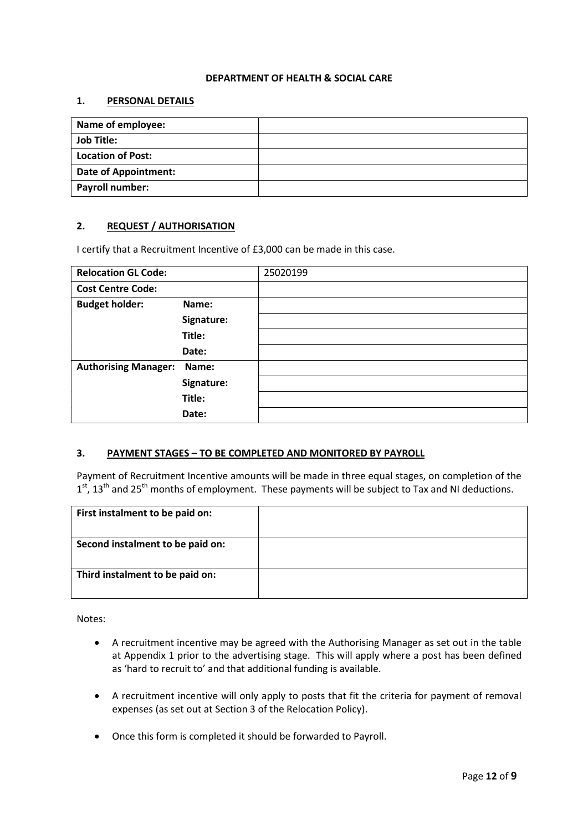#### **1. PERSONAL DETAILS**

| Name of employee:           |  |
|-----------------------------|--|
| <b>Job Title:</b>           |  |
| <b>Location of Post:</b>    |  |
| <b>Date of Appointment:</b> |  |
| Payroll number:             |  |

#### **2. REQUEST / AUTHORISATION**

I certify that a Recruitment Incentive of £3,000 can be made in this case.

| <b>Relocation GL Code:</b>  |            | 25020199 |
|-----------------------------|------------|----------|
| <b>Cost Centre Code:</b>    |            |          |
| <b>Budget holder:</b>       | Name:      |          |
|                             | Signature: |          |
|                             | Title:     |          |
|                             | Date:      |          |
| <b>Authorising Manager:</b> | Name:      |          |
|                             | Signature: |          |
|                             | Title:     |          |
|                             | Date:      |          |

#### **3. PAYMENT STAGES – TO BE COMPLETED AND MONITORED BY PAYROLL**

Payment of Recruitment Incentive amounts will be made in three equal stages, on completion of the  $1<sup>st</sup>$ , 13<sup>th</sup> and 25<sup>th</sup> months of employment. These payments will be subject to Tax and NI deductions.

| First instalment to be paid on:  |  |
|----------------------------------|--|
| Second instalment to be paid on: |  |
|                                  |  |
| Third instalment to be paid on:  |  |
|                                  |  |

Notes:

- A recruitment incentive may be agreed with the Authorising Manager as set out in the table at Appendix 1 prior to the advertising stage. This will apply where a post has been defined as 'hard to recruit to' and that additional funding is available.
- A recruitment incentive will only apply to posts that fit the criteria for payment of removal expenses (as set out at Section 3 of the Relocation Policy).
- Once this form is completed it should be forwarded to Payroll.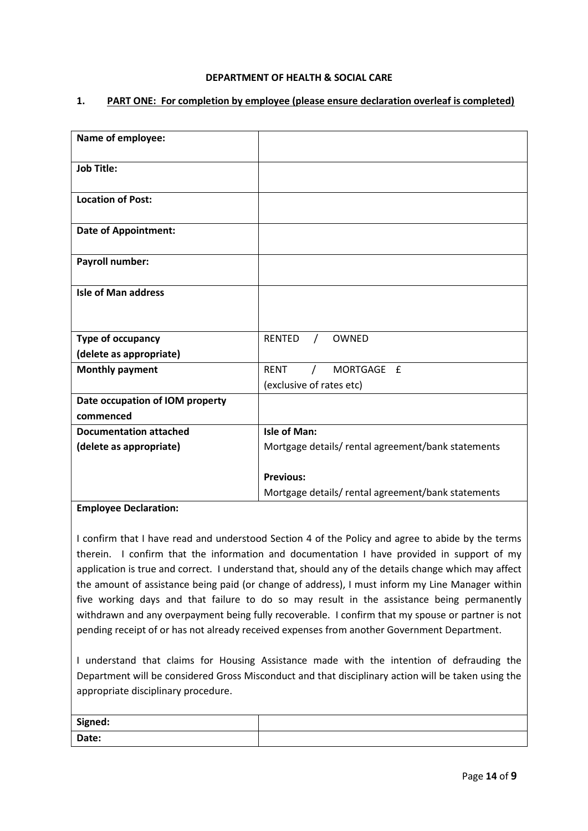#### **1. PART ONE: For completion by employee (please ensure declaration overleaf is completed)**

| Name of employee:               |                                                   |
|---------------------------------|---------------------------------------------------|
| <b>Job Title:</b>               |                                                   |
| <b>Location of Post:</b>        |                                                   |
| <b>Date of Appointment:</b>     |                                                   |
| <b>Payroll number:</b>          |                                                   |
| <b>Isle of Man address</b>      |                                                   |
| Type of occupancy               | <b>RENTED</b><br>OWNED<br>$\prime$                |
| (delete as appropriate)         |                                                   |
| <b>Monthly payment</b>          | MORTGAGE £<br><b>RENT</b>                         |
|                                 | (exclusive of rates etc)                          |
| Date occupation of IOM property |                                                   |
| commenced                       |                                                   |
| <b>Documentation attached</b>   | Isle of Man:                                      |
| (delete as appropriate)         | Mortgage details/rental agreement/bank statements |
|                                 | <b>Previous:</b>                                  |
|                                 | Mortgage details/rental agreement/bank statements |

#### **Employee Declaration:**

I confirm that I have read and understood Section 4 of the Policy and agree to abide by the terms therein. I confirm that the information and documentation I have provided in support of my application is true and correct. I understand that, should any of the details change which may affect the amount of assistance being paid (or change of address), I must inform my Line Manager within five working days and that failure to do so may result in the assistance being permanently withdrawn and any overpayment being fully recoverable. I confirm that my spouse or partner is not pending receipt of or has not already received expenses from another Government Department.

I understand that claims for Housing Assistance made with the intention of defrauding the Department will be considered Gross Misconduct and that disciplinary action will be taken using the appropriate disciplinary procedure.

| Signed: |  |
|---------|--|
| Date:   |  |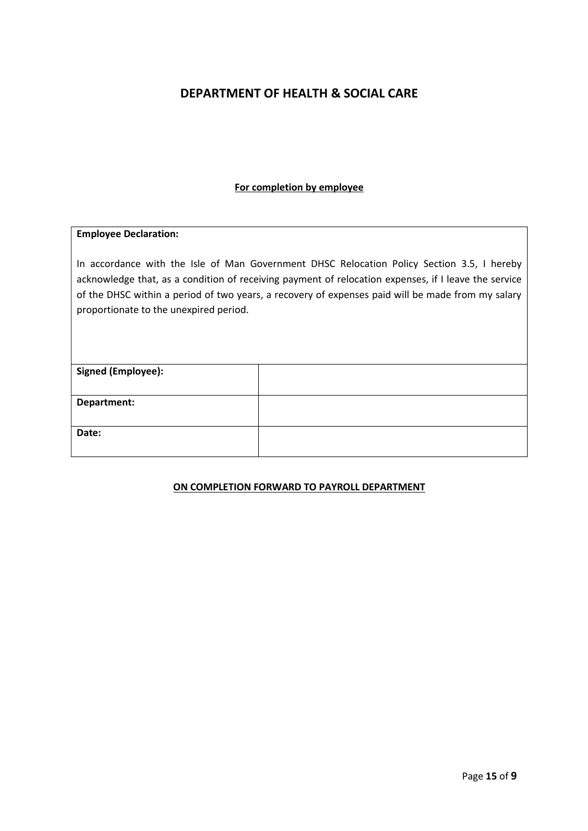#### **For completion by employee**

#### **Employee Declaration:**

In accordance with the Isle of Man Government DHSC Relocation Policy Section 3.5, I hereby acknowledge that, as a condition of receiving payment of relocation expenses, if I leave the service of the DHSC within a period of two years, a recovery of expenses paid will be made from my salary proportionate to the unexpired period.

| <b>Signed (Employee):</b> |  |
|---------------------------|--|
|                           |  |
| Department:               |  |
| Date:                     |  |

#### **ON COMPLETION FORWARD TO PAYROLL DEPARTMENT**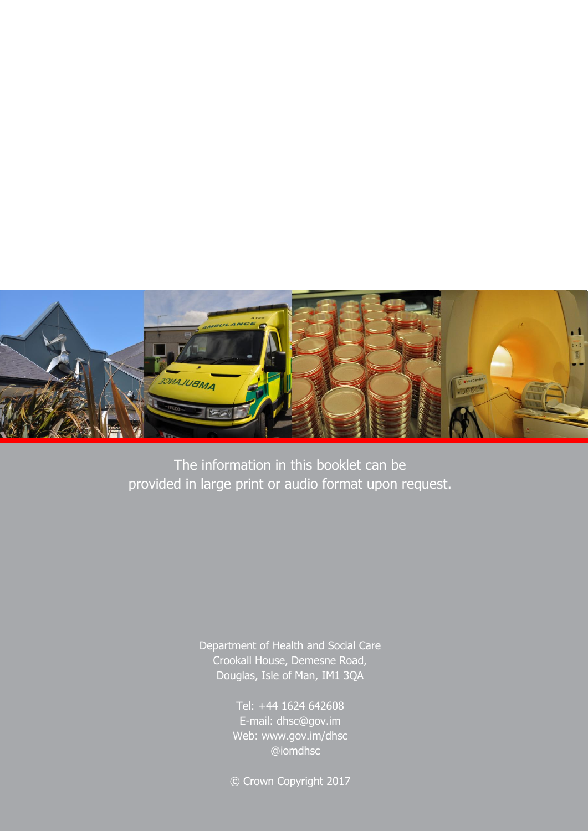

The information in this booklet can be provided in large print or audio format upon request.

> Department of Health and Social Care Crookall House, Demesne Road, Douglas, Isle of Man, IM1 3QA

> > Tel: +44 1624 642608 E-mail: dhsc@gov.im **Tel: +44 @iomdhsc** Web: www.gov.im/dhsc

© Crown Copyright 2017